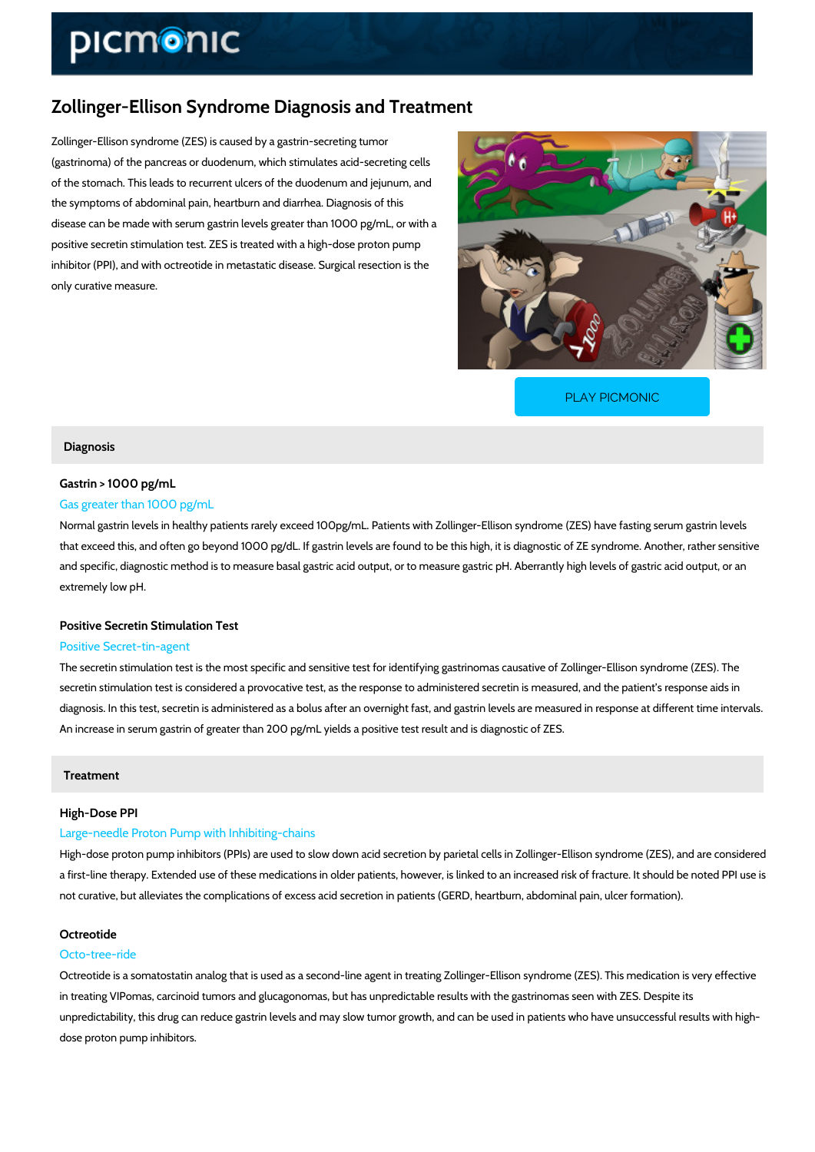# Zollinger-Ellison Syndrome Diagnosis and Treatment

Zollinger-Ellison syndrome (ZES) is caused by a gastrin-secreting tumor (gastrinoma) of the pancreas or duodenum, which stimulates acid-secreting cells of the stomach. This leads to recurrent ulcers of the duodenum and jejunum, and the symptoms of abdominal pain, heartburn and diarrhea. Diagnosis of this disease can be made with serum gastrin levels greater than 1000 pg/mL, or with a positive secretin stimulation test. ZES is treated with a high-dose proton pump inhibitor (PPI), and with octreotide in metastatic disease. Surgical resection is the only curative measure.

[PLAY PICMONIC](https://www.picmonic.com/learn/zollinger-ellison-diagnosis-and-treatment_1343?utm_source=downloadable_content&utm_medium=distributedcontent&utm_campaign=pathways_pdf&utm_content=Zollinger-Ellison Syndrome Diagnosis and Treatment&utm_ad_group=leads&utm_market=all)

#### Diagnosis

## Gastrin  $> 1000$  pg/mL

## Gas greater than 1000 pg/mL

Normal gastrin levels in healthy patients rarely exceed 100pg/mL. Patients with Zollinger-Ellis that exceed this, and often go beyond 1000 pg/dL. If gastrin levels are found to be this high, and specific, diagnostic method is to measure basal gastric acid output, or to measure gastric extremely low pH.

#### Positive Secretin Stimulation Test

#### Positive Secret-tin-agent

The secretin stimulation test is the most specific and sensitive test for identifying gastrinoma secretin stimulation test is considered a provocative test, as the response to administered se diagnosis. In this test, secretin is administered as a bolus after an overnight fast, and gastri An increase in serum gastrin of greater than 200 pg/mL yields a positive test result and is dia

## Treatment

#### High-Dose PPI

## Large-needle Proton Pump with Inhibiting-chains

High-dose proton pump inhibitors (PPIs) are used to slow down acid secretion by parietal cell a first-line therapy. Extended use of these medications in older patients, however, is linked t not curative, but alleviates the complications of excess acid secretion in patients (GERD, hea

## Octreotide

## Octo-tree-ride

Octreotide is a somatostatin analog that is used as a second-line agent in treating Zollinger-E in treating VIPomas, carcinoid tumors and glucagonomas, but has unpredictable results with t unpredictability, this drug can reduce gastrin levels and may slow tumor growth, and can be u dose proton pump inhibitors.